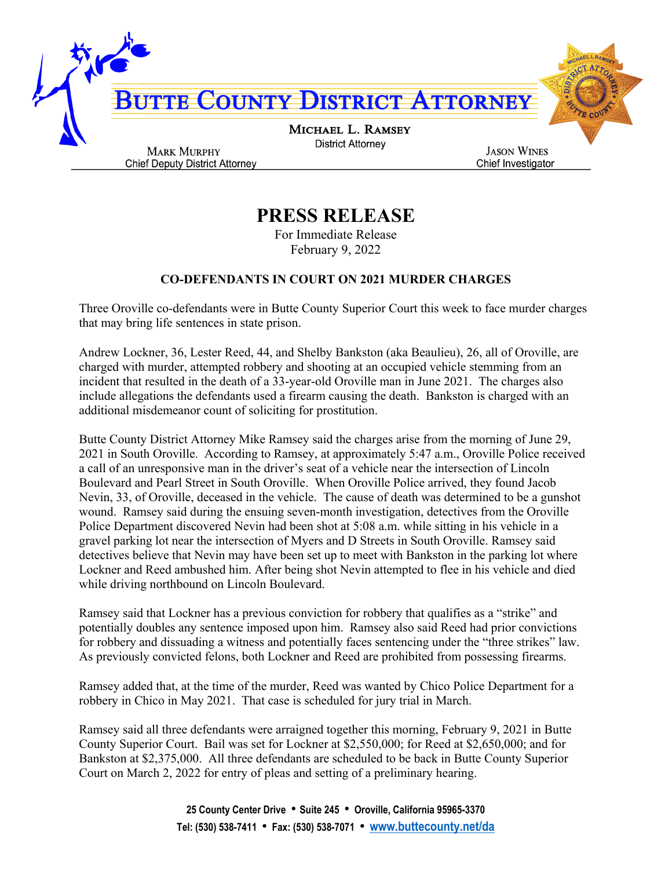

## **PRESS RELEASE**

For Immediate Release February 9, 2022

## **CO-DEFENDANTS IN COURT ON 2021 MURDER CHARGES**

Three Oroville co-defendants were in Butte County Superior Court this week to face murder charges that may bring life sentences in state prison.

Andrew Lockner, 36, Lester Reed, 44, and Shelby Bankston (aka Beaulieu), 26, all of Oroville, are charged with murder, attempted robbery and shooting at an occupied vehicle stemming from an incident that resulted in the death of a 33-year-old Oroville man in June 2021. The charges also include allegations the defendants used a firearm causing the death. Bankston is charged with an additional misdemeanor count of soliciting for prostitution.

Butte County District Attorney Mike Ramsey said the charges arise from the morning of June 29, 2021 in South Oroville. According to Ramsey, at approximately 5:47 a.m., Oroville Police received a call of an unresponsive man in the driver's seat of a vehicle near the intersection of Lincoln Boulevard and Pearl Street in South Oroville. When Oroville Police arrived, they found Jacob Nevin, 33, of Oroville, deceased in the vehicle. The cause of death was determined to be a gunshot wound. Ramsey said during the ensuing seven-month investigation, detectives from the Oroville Police Department discovered Nevin had been shot at 5:08 a.m. while sitting in his vehicle in a gravel parking lot near the intersection of Myers and D Streets in South Oroville. Ramsey said detectives believe that Nevin may have been set up to meet with Bankston in the parking lot where Lockner and Reed ambushed him. After being shot Nevin attempted to flee in his vehicle and died while driving northbound on Lincoln Boulevard.

Ramsey said that Lockner has a previous conviction for robbery that qualifies as a "strike" and potentially doubles any sentence imposed upon him. Ramsey also said Reed had prior convictions for robbery and dissuading a witness and potentially faces sentencing under the "three strikes" law. As previously convicted felons, both Lockner and Reed are prohibited from possessing firearms.

Ramsey added that, at the time of the murder, Reed was wanted by Chico Police Department for a robbery in Chico in May 2021. That case is scheduled for jury trial in March.

Ramsey said all three defendants were arraigned together this morning, February 9, 2021 in Butte County Superior Court. Bail was set for Lockner at \$2,550,000; for Reed at \$2,650,000; and for Bankston at \$2,375,000. All three defendants are scheduled to be back in Butte County Superior Court on March 2, 2022 for entry of pleas and setting of a preliminary hearing.